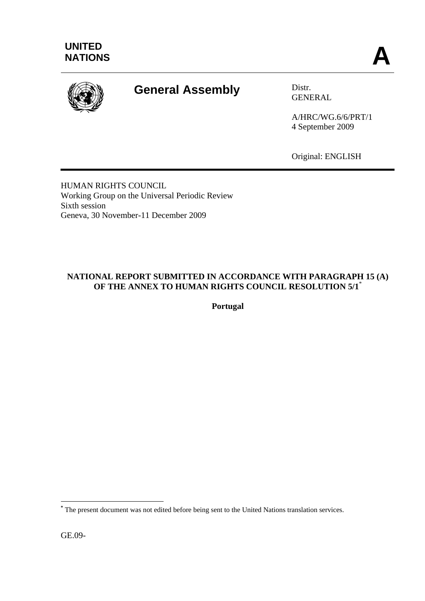

# **General Assembly** Distr.

GENERAL

A/HRC/WG.6/6/PRT/1 4 September 2009

Original: ENGLISH

HUMAN RIGHTS COUNCIL Working Group on the Universal Periodic Review Sixth session Geneva, 30 November-11 December 2009

## **NATIONAL REPORT SUBMITTED IN ACCORDANCE WITH PARAGRAPH 15 (A) OF THE ANNEX TO HUMAN RIGHTS COUNCIL RESOLUTION 5/1**\*

**Portugal** 

GE.09-

 $\overline{a}$ 

**<sup>\*</sup>** The present document was not edited before being sent to the United Nations translation services.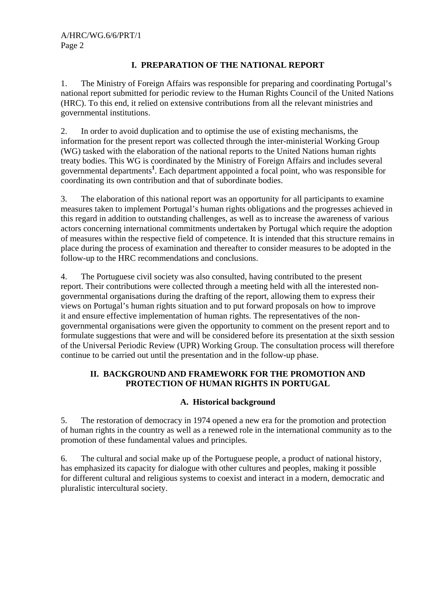## **I. PREPARATION OF THE NATIONAL REPORT**

1. The Ministry of Foreign Affairs was responsible for preparing and coordinating Portugal's national report submitted for periodic review to the Human Rights Council of the United Nations (HRC). To this end, it relied on extensive contributions from all the relevant ministries and governmental institutions.

2. In order to avoid duplication and to optimise the use of existing mechanisms, the information for the present report was collected through the inter-ministerial Working Group (WG) tasked with the elaboration of the national reports to the United Nations human rights treaty bodies. This WG is coordinated by the Ministry of Foreign Affairs and includes several governmental departments**<sup>1</sup>** . Each department appointed a focal point, who was responsible for coordinating its own contribution and that of subordinate bodies.

3. The elaboration of this national report was an opportunity for all participants to examine measures taken to implement Portugal's human rights obligations and the progresses achieved in this regard in addition to outstanding challenges, as well as to increase the awareness of various actors concerning international commitments undertaken by Portugal which require the adoption of measures within the respective field of competence. It is intended that this structure remains in place during the process of examination and thereafter to consider measures to be adopted in the follow-up to the HRC recommendations and conclusions.

4. The Portuguese civil society was also consulted, having contributed to the present report. Their contributions were collected through a meeting held with all the interested nongovernmental organisations during the drafting of the report, allowing them to express their views on Portugal's human rights situation and to put forward proposals on how to improve it and ensure effective implementation of human rights. The representatives of the nongovernmental organisations were given the opportunity to comment on the present report and to formulate suggestions that were and will be considered before its presentation at the sixth session of the Universal Periodic Review (UPR) Working Group. The consultation process will therefore continue to be carried out until the presentation and in the follow-up phase.

## **II. BACKGROUND AND FRAMEWORK FOR THE PROMOTION AND PROTECTION OF HUMAN RIGHTS IN PORTUGAL**

#### **A. Historical background**

5. The restoration of democracy in 1974 opened a new era for the promotion and protection of human rights in the country as well as a renewed role in the international community as to the promotion of these fundamental values and principles.

6. The cultural and social make up of the Portuguese people, a product of national history, has emphasized its capacity for dialogue with other cultures and peoples, making it possible for different cultural and religious systems to coexist and interact in a modern, democratic and pluralistic intercultural society.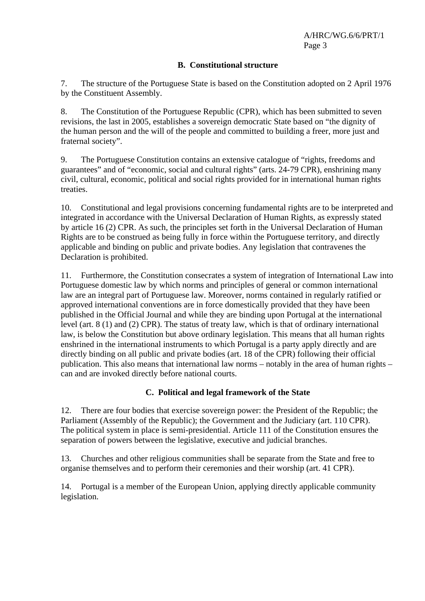#### **B. Constitutional structure**

7. The structure of the Portuguese State is based on the Constitution adopted on 2 April 1976 by the Constituent Assembly.

8. The Constitution of the Portuguese Republic (CPR), which has been submitted to seven revisions, the last in 2005, establishes a sovereign democratic State based on "the dignity of the human person and the will of the people and committed to building a freer, more just and fraternal society".

9. The Portuguese Constitution contains an extensive catalogue of "rights, freedoms and guarantees" and of "economic, social and cultural rights" (arts. 24-79 CPR), enshrining many civil, cultural, economic, political and social rights provided for in international human rights treaties.

10. Constitutional and legal provisions concerning fundamental rights are to be interpreted and integrated in accordance with the Universal Declaration of Human Rights, as expressly stated by article 16 (2) CPR. As such, the principles set forth in the Universal Declaration of Human Rights are to be construed as being fully in force within the Portuguese territory, and directly applicable and binding on public and private bodies. Any legislation that contravenes the Declaration is prohibited.

11. Furthermore, the Constitution consecrates a system of integration of International Law into Portuguese domestic law by which norms and principles of general or common international law are an integral part of Portuguese law. Moreover, norms contained in regularly ratified or approved international conventions are in force domestically provided that they have been published in the Official Journal and while they are binding upon Portugal at the international level (art. 8 (1) and (2) CPR). The status of treaty law, which is that of ordinary international law, is below the Constitution but above ordinary legislation. This means that all human rights enshrined in the international instruments to which Portugal is a party apply directly and are directly binding on all public and private bodies (art. 18 of the CPR) following their official publication. This also means that international law norms – notably in the area of human rights – can and are invoked directly before national courts.

## **C. Political and legal framework of the State**

12. There are four bodies that exercise sovereign power: the President of the Republic; the Parliament (Assembly of the Republic); the Government and the Judiciary (art. 110 CPR). The political system in place is semi-presidential. Article 111 of the Constitution ensures the separation of powers between the legislative, executive and judicial branches.

13. Churches and other religious communities shall be separate from the State and free to organise themselves and to perform their ceremonies and their worship (art. 41 CPR).

14. Portugal is a member of the European Union, applying directly applicable community legislation.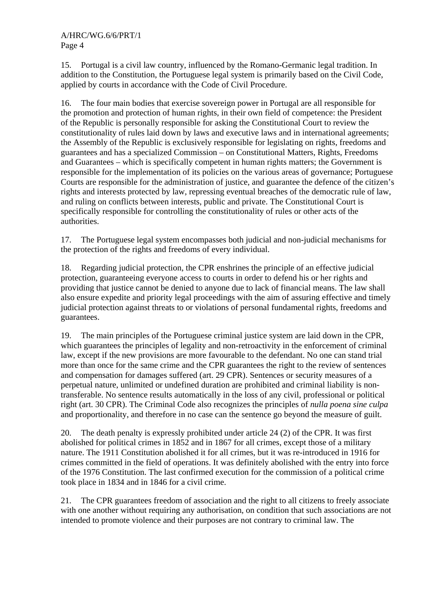15. Portugal is a civil law country, influenced by the Romano-Germanic legal tradition. In addition to the Constitution, the Portuguese legal system is primarily based on the Civil Code, applied by courts in accordance with the Code of Civil Procedure.

16. The four main bodies that exercise sovereign power in Portugal are all responsible for the promotion and protection of human rights, in their own field of competence: the President of the Republic is personally responsible for asking the Constitutional Court to review the constitutionality of rules laid down by laws and executive laws and in international agreements; the Assembly of the Republic is exclusively responsible for legislating on rights, freedoms and guarantees and has a specialized Commission – on Constitutional Matters, Rights, Freedoms and Guarantees – which is specifically competent in human rights matters; the Government is responsible for the implementation of its policies on the various areas of governance; Portuguese Courts are responsible for the administration of justice, and guarantee the defence of the citizen's rights and interests protected by law, repressing eventual breaches of the democratic rule of law, and ruling on conflicts between interests, public and private. The Constitutional Court is specifically responsible for controlling the constitutionality of rules or other acts of the authorities.

17. The Portuguese legal system encompasses both judicial and non-judicial mechanisms for the protection of the rights and freedoms of every individual.

18. Regarding judicial protection, the CPR enshrines the principle of an effective judicial protection, guaranteeing everyone access to courts in order to defend his or her rights and providing that justice cannot be denied to anyone due to lack of financial means. The law shall also ensure expedite and priority legal proceedings with the aim of assuring effective and timely judicial protection against threats to or violations of personal fundamental rights, freedoms and guarantees.

19. The main principles of the Portuguese criminal justice system are laid down in the CPR, which guarantees the principles of legality and non-retroactivity in the enforcement of criminal law, except if the new provisions are more favourable to the defendant. No one can stand trial more than once for the same crime and the CPR guarantees the right to the review of sentences and compensation for damages suffered (art. 29 CPR). Sentences or security measures of a perpetual nature, unlimited or undefined duration are prohibited and criminal liability is nontransferable. No sentence results automatically in the loss of any civil, professional or political right (art. 30 CPR). The Criminal Code also recognizes the principles of *nulla poena sine culpa* and proportionality, and therefore in no case can the sentence go beyond the measure of guilt.

20. The death penalty is expressly prohibited under article 24 (2) of the CPR. It was first abolished for political crimes in 1852 and in 1867 for all crimes, except those of a military nature. The 1911 Constitution abolished it for all crimes, but it was re-introduced in 1916 for crimes committed in the field of operations. It was definitely abolished with the entry into force of the 1976 Constitution. The last confirmed execution for the commission of a political crime took place in 1834 and in 1846 for a civil crime.

21. The CPR guarantees freedom of association and the right to all citizens to freely associate with one another without requiring any authorisation, on condition that such associations are not intended to promote violence and their purposes are not contrary to criminal law. The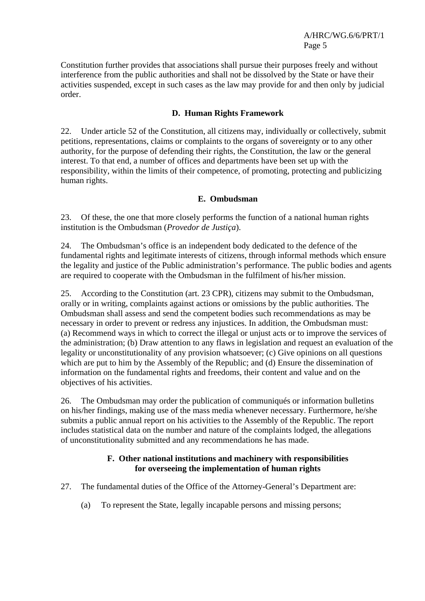Constitution further provides that associations shall pursue their purposes freely and without interference from the public authorities and shall not be dissolved by the State or have their activities suspended, except in such cases as the law may provide for and then only by judicial order.

#### **D. Human Rights Framework**

22. Under article 52 of the Constitution, all citizens may, individually or collectively, submit petitions, representations, claims or complaints to the organs of sovereignty or to any other authority, for the purpose of defending their rights, the Constitution, the law or the general interest. To that end, a number of offices and departments have been set up with the responsibility, within the limits of their competence, of promoting, protecting and publicizing human rights.

#### **E. Ombudsman**

23. Of these, the one that more closely performs the function of a national human rights institution is the Ombudsman (*Provedor de Justiça*).

24. The Ombudsman's office is an independent body dedicated to the defence of the fundamental rights and legitimate interests of citizens, through informal methods which ensure the legality and justice of the Public administration's performance. The public bodies and agents are required to cooperate with the Ombudsman in the fulfilment of his/her mission.

25. According to the Constitution (art. 23 CPR), citizens may submit to the Ombudsman, orally or in writing, complaints against actions or omissions by the public authorities. The Ombudsman shall assess and send the competent bodies such recommendations as may be necessary in order to prevent or redress any injustices. In addition, the Ombudsman must: (a) Recommend ways in which to correct the illegal or unjust acts or to improve the services of the administration; (b) Draw attention to any flaws in legislation and request an evaluation of the legality or unconstitutionality of any provision whatsoever; (c) Give opinions on all questions which are put to him by the Assembly of the Republic; and (d) Ensure the dissemination of information on the fundamental rights and freedoms, their content and value and on the objectives of his activities.

26. The Ombudsman may order the publication of communiqués or information bulletins on his/her findings, making use of the mass media whenever necessary. Furthermore, he/she submits a public annual report on his activities to the Assembly of the Republic. The report includes statistical data on the number and nature of the complaints lodged, the allegations of unconstitutionality submitted and any recommendations he has made.

#### **F. Other national institutions and machinery with responsibilities for overseeing the implementation of human rights**

- 27. The fundamental duties of the Office of the Attorney-General's Department are:
	- (a) To represent the State, legally incapable persons and missing persons;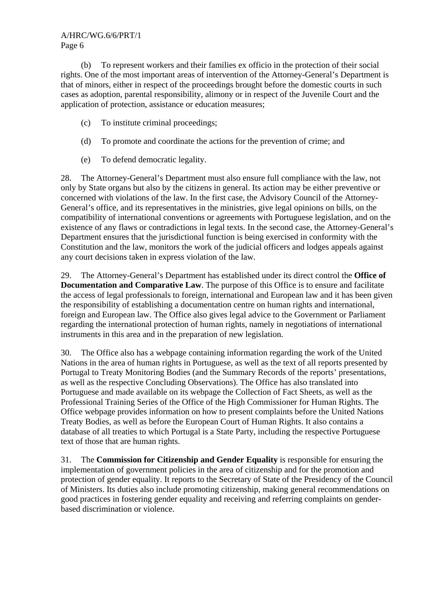(b) To represent workers and their families ex officio in the protection of their social rights. One of the most important areas of intervention of the Attorney-General's Department is that of minors, either in respect of the proceedings brought before the domestic courts in such cases as adoption, parental responsibility, alimony or in respect of the Juvenile Court and the application of protection, assistance or education measures;

- (c) To institute criminal proceedings;
- (d) To promote and coordinate the actions for the prevention of crime; and
- (e) To defend democratic legality.

28. The Attorney-General's Department must also ensure full compliance with the law, not only by State organs but also by the citizens in general. Its action may be either preventive or concerned with violations of the law. In the first case, the Advisory Council of the Attorney-General's office, and its representatives in the ministries, give legal opinions on bills, on the compatibility of international conventions or agreements with Portuguese legislation, and on the existence of any flaws or contradictions in legal texts. In the second case, the Attorney-General's Department ensures that the jurisdictional function is being exercised in conformity with the Constitution and the law, monitors the work of the judicial officers and lodges appeals against any court decisions taken in express violation of the law.

29. The Attorney-General's Department has established under its direct control the **Office of Documentation and Comparative Law**. The purpose of this Office is to ensure and facilitate the access of legal professionals to foreign, international and European law and it has been given the responsibility of establishing a documentation centre on human rights and international, foreign and European law. The Office also gives legal advice to the Government or Parliament regarding the international protection of human rights, namely in negotiations of international instruments in this area and in the preparation of new legislation.

30. The Office also has a webpage containing information regarding the work of the United Nations in the area of human rights in Portuguese, as well as the text of all reports presented by Portugal to Treaty Monitoring Bodies (and the Summary Records of the reports' presentations, as well as the respective Concluding Observations). The Office has also translated into Portuguese and made available on its webpage the Collection of Fact Sheets, as well as the Professional Training Series of the Office of the High Commissioner for Human Rights. The Office webpage provides information on how to present complaints before the United Nations Treaty Bodies, as well as before the European Court of Human Rights. It also contains a database of all treaties to which Portugal is a State Party, including the respective Portuguese text of those that are human rights.

31. The **Commission for Citizenship and Gender Equality** is responsible for ensuring the implementation of government policies in the area of citizenship and for the promotion and protection of gender equality. It reports to the Secretary of State of the Presidency of the Council of Ministers. Its duties also include promoting citizenship, making general recommendations on good practices in fostering gender equality and receiving and referring complaints on genderbased discrimination or violence.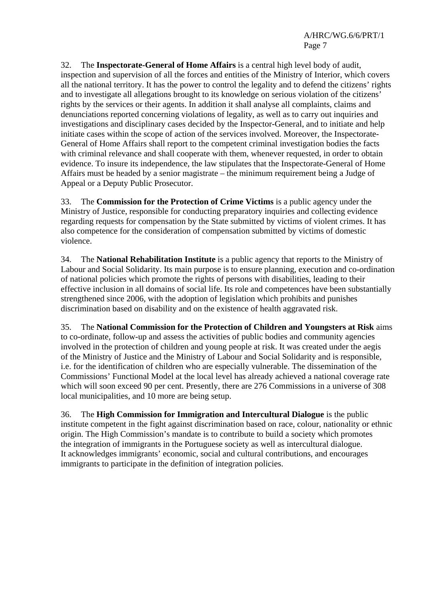32. The **Inspectorate-General of Home Affairs** is a central high level body of audit, inspection and supervision of all the forces and entities of the Ministry of Interior, which covers all the national territory. It has the power to control the legality and to defend the citizens' rights and to investigate all allegations brought to its knowledge on serious violation of the citizens' rights by the services or their agents. In addition it shall analyse all complaints, claims and denunciations reported concerning violations of legality, as well as to carry out inquiries and investigations and disciplinary cases decided by the Inspector-General, and to initiate and help initiate cases within the scope of action of the services involved. Moreover, the Inspectorate-General of Home Affairs shall report to the competent criminal investigation bodies the facts with criminal relevance and shall cooperate with them, whenever requested, in order to obtain evidence. To insure its independence, the law stipulates that the Inspectorate-General of Home Affairs must be headed by a senior magistrate – the minimum requirement being a Judge of Appeal or a Deputy Public Prosecutor.

33. The **Commission for the Protection of Crime Victims** is a public agency under the Ministry of Justice, responsible for conducting preparatory inquiries and collecting evidence regarding requests for compensation by the State submitted by victims of violent crimes. It has also competence for the consideration of compensation submitted by victims of domestic violence.

34. The **National Rehabilitation Institute** is a public agency that reports to the Ministry of Labour and Social Solidarity. Its main purpose is to ensure planning, execution and co-ordination of national policies which promote the rights of persons with disabilities, leading to their effective inclusion in all domains of social life. Its role and competences have been substantially strengthened since 2006, with the adoption of legislation which prohibits and punishes discrimination based on disability and on the existence of health aggravated risk.

35. The **National Commission for the Protection of Children and Youngsters at Risk** aims to co-ordinate, follow-up and assess the activities of public bodies and community agencies involved in the protection of children and young people at risk. It was created under the aegis of the Ministry of Justice and the Ministry of Labour and Social Solidarity and is responsible, i.e. for the identification of children who are especially vulnerable. The dissemination of the Commissions' Functional Model at the local level has already achieved a national coverage rate which will soon exceed 90 per cent. Presently, there are 276 Commissions in a universe of 308 local municipalities, and 10 more are being setup.

36. The **High Commission for Immigration and Intercultural Dialogue** is the public institute competent in the fight against discrimination based on race, colour, nationality or ethnic origin. The High Commission's mandate is to contribute to build a society which promotes the integration of immigrants in the Portuguese society as well as intercultural dialogue. It acknowledges immigrants' economic, social and cultural contributions, and encourages immigrants to participate in the definition of integration policies.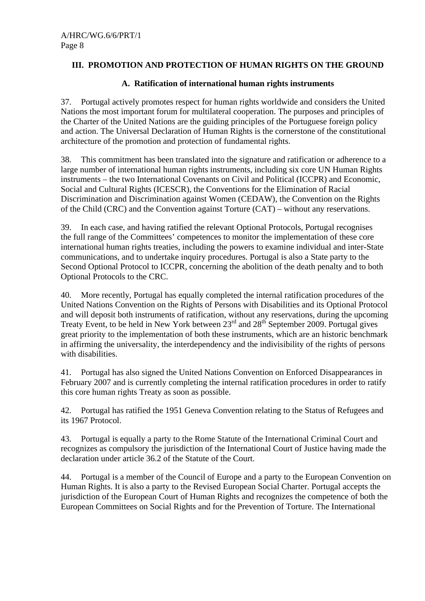## **III. PROMOTION AND PROTECTION OF HUMAN RIGHTS ON THE GROUND**

## **A. Ratification of international human rights instruments**

37. Portugal actively promotes respect for human rights worldwide and considers the United Nations the most important forum for multilateral cooperation. The purposes and principles of the Charter of the United Nations are the guiding principles of the Portuguese foreign policy and action. The Universal Declaration of Human Rights is the cornerstone of the constitutional architecture of the promotion and protection of fundamental rights.

38. This commitment has been translated into the signature and ratification or adherence to a large number of international human rights instruments, including six core UN Human Rights instruments – the two International Covenants on Civil and Political (ICCPR) and Economic, Social and Cultural Rights (ICESCR), the Conventions for the Elimination of Racial Discrimination and Discrimination against Women (CEDAW), the Convention on the Rights of the Child (CRC) and the Convention against Torture (CAT) – without any reservations.

39. In each case, and having ratified the relevant Optional Protocols, Portugal recognises the full range of the Committees' competences to monitor the implementation of these core international human rights treaties, including the powers to examine individual and inter-State communications, and to undertake inquiry procedures. Portugal is also a State party to the Second Optional Protocol to ICCPR, concerning the abolition of the death penalty and to both Optional Protocols to the CRC.

40. More recently, Portugal has equally completed the internal ratification procedures of the United Nations Convention on the Rights of Persons with Disabilities and its Optional Protocol and will deposit both instruments of ratification, without any reservations, during the upcoming Treaty Event, to be held in New York between 23<sup>rd</sup> and 28<sup>th</sup> September 2009. Portugal gives great priority to the implementation of both these instruments, which are an historic benchmark in affirming the universality, the interdependency and the indivisibility of the rights of persons with disabilities.

41. Portugal has also signed the United Nations Convention on Enforced Disappearances in February 2007 and is currently completing the internal ratification procedures in order to ratify this core human rights Treaty as soon as possible.

42. Portugal has ratified the 1951 Geneva Convention relating to the Status of Refugees and its 1967 Protocol.

43. Portugal is equally a party to the Rome Statute of the International Criminal Court and recognizes as compulsory the jurisdiction of the International Court of Justice having made the declaration under article 36.2 of the Statute of the Court.

44. Portugal is a member of the Council of Europe and a party to the European Convention on Human Rights. It is also a party to the Revised European Social Charter. Portugal accepts the jurisdiction of the European Court of Human Rights and recognizes the competence of both the European Committees on Social Rights and for the Prevention of Torture. The International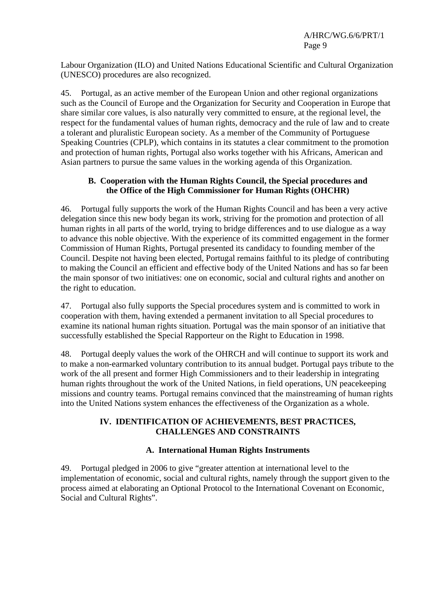Labour Organization (ILO) and United Nations Educational Scientific and Cultural Organization (UNESCO) procedures are also recognized.

45. Portugal, as an active member of the European Union and other regional organizations such as the Council of Europe and the Organization for Security and Cooperation in Europe that share similar core values, is also naturally very committed to ensure, at the regional level, the respect for the fundamental values of human rights, democracy and the rule of law and to create a tolerant and pluralistic European society. As a member of the Community of Portuguese Speaking Countries (CPLP), which contains in its statutes a clear commitment to the promotion and protection of human rights, Portugal also works together with his Africans, American and Asian partners to pursue the same values in the working agenda of this Organization.

## **B. Cooperation with the Human Rights Council, the Special procedures and the Office of the High Commissioner for Human Rights (OHCHR)**

46. Portugal fully supports the work of the Human Rights Council and has been a very active delegation since this new body began its work, striving for the promotion and protection of all human rights in all parts of the world, trying to bridge differences and to use dialogue as a way to advance this noble objective. With the experience of its committed engagement in the former Commission of Human Rights, Portugal presented its candidacy to founding member of the Council. Despite not having been elected, Portugal remains faithful to its pledge of contributing to making the Council an efficient and effective body of the United Nations and has so far been the main sponsor of two initiatives: one on economic, social and cultural rights and another on the right to education.

47. Portugal also fully supports the Special procedures system and is committed to work in cooperation with them, having extended a permanent invitation to all Special procedures to examine its national human rights situation. Portugal was the main sponsor of an initiative that successfully established the Special Rapporteur on the Right to Education in 1998.

48. Portugal deeply values the work of the OHRCH and will continue to support its work and to make a non-earmarked voluntary contribution to its annual budget. Portugal pays tribute to the work of the all present and former High Commissioners and to their leadership in integrating human rights throughout the work of the United Nations, in field operations, UN peacekeeping missions and country teams. Portugal remains convinced that the mainstreaming of human rights into the United Nations system enhances the effectiveness of the Organization as a whole.

## **IV. IDENTIFICATION OF ACHIEVEMENTS, BEST PRACTICES, CHALLENGES AND CONSTRAINTS**

## **A. International Human Rights Instruments**

49. Portugal pledged in 2006 to give "greater attention at international level to the implementation of economic, social and cultural rights, namely through the support given to the process aimed at elaborating an Optional Protocol to the International Covenant on Economic, Social and Cultural Rights".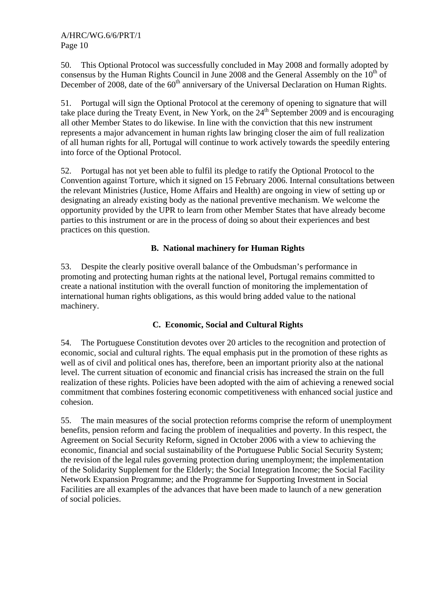50. This Optional Protocol was successfully concluded in May 2008 and formally adopted by consensus by the Human Rights Council in June 2008 and the General Assembly on the  $10<sup>th</sup>$  of December of 2008, date of the  $60<sup>th</sup>$  anniversary of the Universal Declaration on Human Rights.

51. Portugal will sign the Optional Protocol at the ceremony of opening to signature that will take place during the Treaty Event, in New York, on the  $24<sup>th</sup>$  September 2009 and is encouraging all other Member States to do likewise. In line with the conviction that this new instrument represents a major advancement in human rights law bringing closer the aim of full realization of all human rights for all, Portugal will continue to work actively towards the speedily entering into force of the Optional Protocol.

52. Portugal has not yet been able to fulfil its pledge to ratify the Optional Protocol to the Convention against Torture, which it signed on 15 February 2006. Internal consultations between the relevant Ministries (Justice, Home Affairs and Health) are ongoing in view of setting up or designating an already existing body as the national preventive mechanism. We welcome the opportunity provided by the UPR to learn from other Member States that have already become parties to this instrument or are in the process of doing so about their experiences and best practices on this question.

# **B. National machinery for Human Rights**

53. Despite the clearly positive overall balance of the Ombudsman's performance in promoting and protecting human rights at the national level, Portugal remains committed to create a national institution with the overall function of monitoring the implementation of international human rights obligations, as this would bring added value to the national machinery.

## **C. Economic, Social and Cultural Rights**

54. The Portuguese Constitution devotes over 20 articles to the recognition and protection of economic, social and cultural rights. The equal emphasis put in the promotion of these rights as well as of civil and political ones has, therefore, been an important priority also at the national level. The current situation of economic and financial crisis has increased the strain on the full realization of these rights. Policies have been adopted with the aim of achieving a renewed social commitment that combines fostering economic competitiveness with enhanced social justice and cohesion.

55. The main measures of the social protection reforms comprise the reform of unemployment benefits, pension reform and facing the problem of inequalities and poverty. In this respect, the Agreement on Social Security Reform, signed in October 2006 with a view to achieving the economic, financial and social sustainability of the Portuguese Public Social Security System; the revision of the legal rules governing protection during unemployment; the implementation of the Solidarity Supplement for the Elderly; the Social Integration Income; the Social Facility Network Expansion Programme; and the Programme for Supporting Investment in Social Facilities are all examples of the advances that have been made to launch of a new generation of social policies.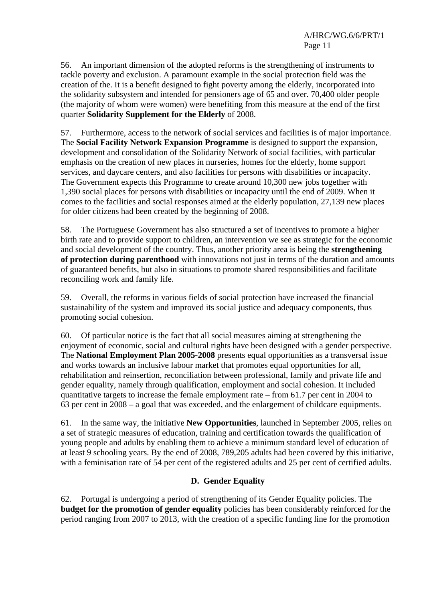56. An important dimension of the adopted reforms is the strengthening of instruments to tackle poverty and exclusion. A paramount example in the social protection field was the creation of the. It is a benefit designed to fight poverty among the elderly, incorporated into the solidarity subsystem and intended for pensioners age of 65 and over. 70,400 older people (the majority of whom were women) were benefiting from this measure at the end of the first quarter **Solidarity Supplement for the Elderly** of 2008.

57. Furthermore, access to the network of social services and facilities is of major importance. The **Social Facility Network Expansion Programme** is designed to support the expansion, development and consolidation of the Solidarity Network of social facilities, with particular emphasis on the creation of new places in nurseries, homes for the elderly, home support services, and daycare centers, and also facilities for persons with disabilities or incapacity. The Government expects this Programme to create around 10,300 new jobs together with 1,390 social places for persons with disabilities or incapacity until the end of 2009. When it comes to the facilities and social responses aimed at the elderly population, 27,139 new places for older citizens had been created by the beginning of 2008.

58. The Portuguese Government has also structured a set of incentives to promote a higher birth rate and to provide support to children, an intervention we see as strategic for the economic and social development of the country. Thus, another priority area is being the **strengthening of protection during parenthood** with innovations not just in terms of the duration and amounts of guaranteed benefits, but also in situations to promote shared responsibilities and facilitate reconciling work and family life.

59. Overall, the reforms in various fields of social protection have increased the financial sustainability of the system and improved its social justice and adequacy components, thus promoting social cohesion.

60. Of particular notice is the fact that all social measures aiming at strengthening the enjoyment of economic, social and cultural rights have been designed with a gender perspective. The **National Employment Plan 2005-2008** presents equal opportunities as a transversal issue and works towards an inclusive labour market that promotes equal opportunities for all, rehabilitation and reinsertion, reconciliation between professional, family and private life and gender equality, namely through qualification, employment and social cohesion. It included quantitative targets to increase the female employment rate – from 61.7 per cent in 2004 to 63 per cent in 2008 – a goal that was exceeded, and the enlargement of childcare equipments.

61. In the same way, the initiative **New Opportunities***,* launched in September 2005, relies on a set of strategic measures of education, training and certification towards the qualification of young people and adults by enabling them to achieve a minimum standard level of education of at least 9 schooling years. By the end of 2008, 789,205 adults had been covered by this initiative, with a feminisation rate of 54 per cent of the registered adults and 25 per cent of certified adults.

## **D. Gender Equality**

62. Portugal is undergoing a period of strengthening of its Gender Equality policies. The **budget for the promotion of gender equality** policies has been considerably reinforced for the period ranging from 2007 to 2013, with the creation of a specific funding line for the promotion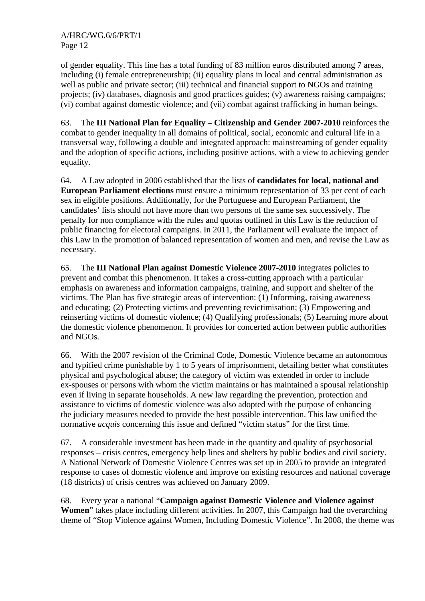of gender equality. This line has a total funding of 83 million euros distributed among 7 areas, including (i) female entrepreneurship; (ii) equality plans in local and central administration as well as public and private sector; (iii) technical and financial support to NGOs and training projects; (iv) databases, diagnosis and good practices guides; (v) awareness raising campaigns; (vi) combat against domestic violence; and (vii) combat against trafficking in human beings.

63. The **III National Plan for Equality – Citizenship and Gender 2007-2010** reinforces the combat to gender inequality in all domains of political, social, economic and cultural life in a transversal way, following a double and integrated approach: mainstreaming of gender equality and the adoption of specific actions, including positive actions, with a view to achieving gender equality.

64. A Law adopted in 2006 established that the lists of **candidates for local, national and European Parliament elections** must ensure a minimum representation of 33 per cent of each sex in eligible positions. Additionally, for the Portuguese and European Parliament, the candidates' lists should not have more than two persons of the same sex successively. The penalty for non compliance with the rules and quotas outlined in this Law is the reduction of public financing for electoral campaigns. In 2011, the Parliament will evaluate the impact of this Law in the promotion of balanced representation of women and men, and revise the Law as necessary.

65. The **III National Plan against Domestic Violence 2007-2010** integrates policies to prevent and combat this phenomenon. It takes a cross-cutting approach with a particular emphasis on awareness and information campaigns, training, and support and shelter of the victims. The Plan has five strategic areas of intervention: (1) Informing, raising awareness and educating; (2) Protecting victims and preventing revictimisation; (3) Empowering and reinserting victims of domestic violence; (4) Qualifying professionals; (5) Learning more about the domestic violence phenomenon. It provides for concerted action between public authorities and NGOs.

66. With the 2007 revision of the Criminal Code, Domestic Violence became an autonomous and typified crime punishable by 1 to 5 years of imprisonment, detailing better what constitutes physical and psychological abuse; the category of victim was extended in order to include ex-spouses or persons with whom the victim maintains or has maintained a spousal relationship even if living in separate households. A new law regarding the prevention, protection and assistance to victims of domestic violence was also adopted with the purpose of enhancing the judiciary measures needed to provide the best possible intervention. This law unified the normative *acquis* concerning this issue and defined "victim status" for the first time.

67. A considerable investment has been made in the quantity and quality of psychosocial responses – crisis centres, emergency help lines and shelters by public bodies and civil society. A National Network of Domestic Violence Centres was set up in 2005 to provide an integrated response to cases of domestic violence and improve on existing resources and national coverage (18 districts) of crisis centres was achieved on January 2009.

68. Every year a national "**Campaign against Domestic Violence and Violence against Women**" takes place including different activities. In 2007, this Campaign had the overarching theme of "Stop Violence against Women, Including Domestic Violence". In 2008, the theme was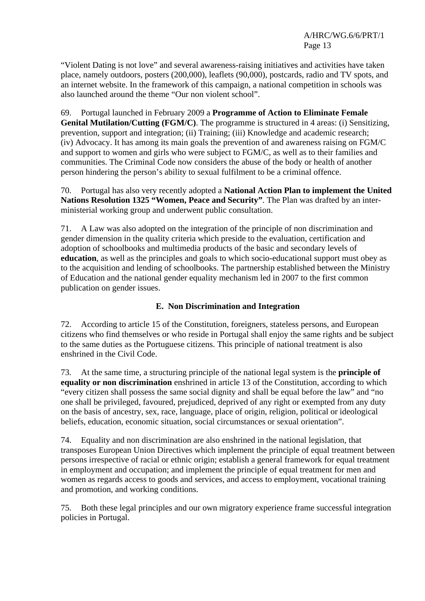"Violent Dating is not love" and several awareness-raising initiatives and activities have taken place, namely outdoors, posters (200,000), leaflets (90,000), postcards, radio and TV spots, and an internet website. In the framework of this campaign, a national competition in schools was also launched around the theme "Our non violent school".

69. Portugal launched in February 2009 a **Programme of Action to Eliminate Female Genital Mutilation/Cutting (FGM/C)**. The programme is structured in 4 areas: (i) Sensitizing, prevention, support and integration; (ii) Training; (iii) Knowledge and academic research; (iv) Advocacy. It has among its main goals the prevention of and awareness raising on FGM/C and support to women and girls who were subject to FGM/C, as well as to their families and communities. The Criminal Code now considers the abuse of the body or health of another person hindering the person's ability to sexual fulfilment to be a criminal offence.

70. Portugal has also very recently adopted a **National Action Plan to implement the United Nations Resolution 1325 "Women, Peace and Security"**. The Plan was drafted by an interministerial working group and underwent public consultation.

71. A Law was also adopted on the integration of the principle of non discrimination and gender dimension in the quality criteria which preside to the evaluation, certification and adoption of schoolbooks and multimedia products of the basic and secondary levels of **education**, as well as the principles and goals to which socio-educational support must obey as to the acquisition and lending of schoolbooks. The partnership established between the Ministry of Education and the national gender equality mechanism led in 2007 to the first common publication on gender issues.

## **E. Non Discrimination and Integration**

72. According to article 15 of the Constitution, foreigners, stateless persons, and European citizens who find themselves or who reside in Portugal shall enjoy the same rights and be subject to the same duties as the Portuguese citizens. This principle of national treatment is also enshrined in the Civil Code.

73. At the same time, a structuring principle of the national legal system is the **principle of equality or non discrimination** enshrined in article 13 of the Constitution, according to which "every citizen shall possess the same social dignity and shall be equal before the law" and "no one shall be privileged, favoured, prejudiced, deprived of any right or exempted from any duty on the basis of ancestry, sex, race, language, place of origin, religion, political or ideological beliefs, education, economic situation, social circumstances or sexual orientation".

74. Equality and non discrimination are also enshrined in the national legislation, that transposes European Union Directives which implement the principle of equal treatment between persons irrespective of racial or ethnic origin; establish a general framework for equal treatment in employment and occupation; and implement the principle of equal treatment for men and women as regards access to goods and services, and access to employment, vocational training and promotion, and working conditions.

75. Both these legal principles and our own migratory experience frame successful integration policies in Portugal.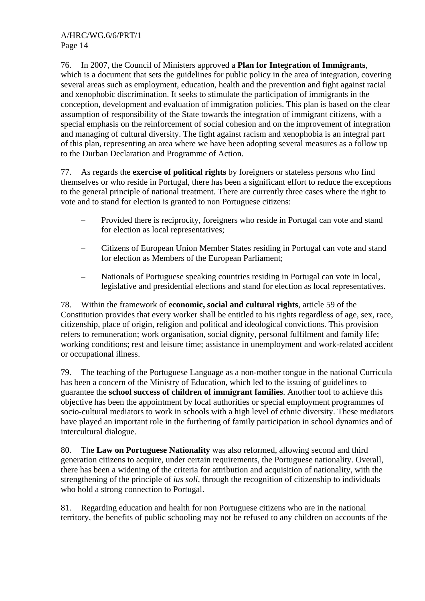76. In 2007, the Council of Ministers approved a **Plan for Integration of Immigrants**, which is a document that sets the guidelines for public policy in the area of integration, covering several areas such as employment, education, health and the prevention and fight against racial and xenophobic discrimination. It seeks to stimulate the participation of immigrants in the conception, development and evaluation of immigration policies. This plan is based on the clear assumption of responsibility of the State towards the integration of immigrant citizens, with a special emphasis on the reinforcement of social cohesion and on the improvement of integration and managing of cultural diversity. The fight against racism and xenophobia is an integral part of this plan, representing an area where we have been adopting several measures as a follow up to the Durban Declaration and Programme of Action.

77. As regards the **exercise of political rights** by foreigners or stateless persons who find themselves or who reside in Portugal, there has been a significant effort to reduce the exceptions to the general principle of national treatment. There are currently three cases where the right to vote and to stand for election is granted to non Portuguese citizens:

- Provided there is reciprocity, foreigners who reside in Portugal can vote and stand for election as local representatives;
- Citizens of European Union Member States residing in Portugal can vote and stand for election as Members of the European Parliament;
- Nationals of Portuguese speaking countries residing in Portugal can vote in local, legislative and presidential elections and stand for election as local representatives.

78. Within the framework of **economic, social and cultural rights**, article 59 of the Constitution provides that every worker shall be entitled to his rights regardless of age, sex, race, citizenship, place of origin, religion and political and ideological convictions. This provision refers to remuneration; work organisation, social dignity, personal fulfilment and family life; working conditions; rest and leisure time; assistance in unemployment and work-related accident or occupational illness.

79. The teaching of the Portuguese Language as a non-mother tongue in the national Curricula has been a concern of the Ministry of Education, which led to the issuing of guidelines to guarantee the **school success of children of immigrant families**. Another tool to achieve this objective has been the appointment by local authorities or special employment programmes of socio-cultural mediators to work in schools with a high level of ethnic diversity. These mediators have played an important role in the furthering of family participation in school dynamics and of intercultural dialogue.

80. The **Law on Portuguese Nationality** was also reformed, allowing second and third generation citizens to acquire, under certain requirements, the Portuguese nationality. Overall, there has been a widening of the criteria for attribution and acquisition of nationality, with the strengthening of the principle of *ius soli*, through the recognition of citizenship to individuals who hold a strong connection to Portugal.

81. Regarding education and health for non Portuguese citizens who are in the national territory, the benefits of public schooling may not be refused to any children on accounts of the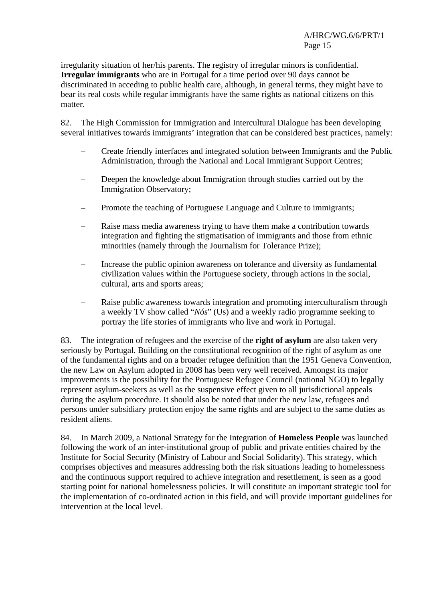irregularity situation of her/his parents. The registry of irregular minors is confidential. **Irregular immigrants** who are in Portugal for a time period over 90 days cannot be discriminated in acceding to public health care, although, in general terms, they might have to bear its real costs while regular immigrants have the same rights as national citizens on this matter.

82. The High Commission for Immigration and Intercultural Dialogue has been developing several initiatives towards immigrants' integration that can be considered best practices, namely:

- Create friendly interfaces and integrated solution between Immigrants and the Public Administration, through the National and Local Immigrant Support Centres;
- Deepen the knowledge about Immigration through studies carried out by the Immigration Observatory;
- Promote the teaching of Portuguese Language and Culture to immigrants;
- Raise mass media awareness trying to have them make a contribution towards integration and fighting the stigmatisation of immigrants and those from ethnic minorities (namely through the Journalism for Tolerance Prize);
- Increase the public opinion awareness on tolerance and diversity as fundamental civilization values within the Portuguese society, through actions in the social, cultural, arts and sports areas;
- Raise public awareness towards integration and promoting interculturalism through a weekly TV show called "*Nós*" (Us) and a weekly radio programme seeking to portray the life stories of immigrants who live and work in Portugal.

83. The integration of refugees and the exercise of the **right of asylum** are also taken very seriously by Portugal. Building on the constitutional recognition of the right of asylum as one of the fundamental rights and on a broader refugee definition than the 1951 Geneva Convention, the new Law on Asylum adopted in 2008 has been very well received. Amongst its major improvements is the possibility for the Portuguese Refugee Council (national NGO) to legally represent asylum-seekers as well as the suspensive effect given to all jurisdictional appeals during the asylum procedure. It should also be noted that under the new law, refugees and persons under subsidiary protection enjoy the same rights and are subject to the same duties as resident aliens.

84. In March 2009, a National Strategy for the Integration of **Homeless People** was launched following the work of an inter-institutional group of public and private entities chaired by the Institute for Social Security (Ministry of Labour and Social Solidarity). This strategy, which comprises objectives and measures addressing both the risk situations leading to homelessness and the continuous support required to achieve integration and resettlement, is seen as a good starting point for national homelessness policies. It will constitute an important strategic tool for the implementation of co-ordinated action in this field, and will provide important guidelines for intervention at the local level.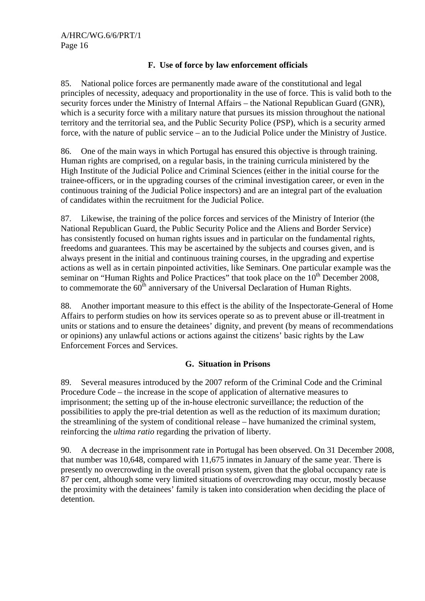## **F. Use of force by law enforcement officials**

85. National police forces are permanently made aware of the constitutional and legal principles of necessity, adequacy and proportionality in the use of force. This is valid both to the security forces under the Ministry of Internal Affairs – the National Republican Guard (GNR), which is a security force with a military nature that pursues its mission throughout the national territory and the territorial sea, and the Public Security Police (PSP), which is a security armed force, with the nature of public service – an to the Judicial Police under the Ministry of Justice.

86. One of the main ways in which Portugal has ensured this objective is through training. Human rights are comprised, on a regular basis, in the training curricula ministered by the High Institute of the Judicial Police and Criminal Sciences (either in the initial course for the trainee-officers, or in the upgrading courses of the criminal investigation career, or even in the continuous training of the Judicial Police inspectors) and are an integral part of the evaluation of candidates within the recruitment for the Judicial Police.

87. Likewise, the training of the police forces and services of the Ministry of Interior (the National Republican Guard, the Public Security Police and the Aliens and Border Service) has consistently focused on human rights issues and in particular on the fundamental rights, freedoms and guarantees. This may be ascertained by the subjects and courses given, and is always present in the initial and continuous training courses, in the upgrading and expertise actions as well as in certain pinpointed activities, like Seminars. One particular example was the seminar on "Human Rights and Police Practices" that took place on the  $10<sup>th</sup>$  December 2008, to commemorate the  $60<sup>th</sup>$  anniversary of the Universal Declaration of Human Rights.

88. Another important measure to this effect is the ability of the Inspectorate-General of Home Affairs to perform studies on how its services operate so as to prevent abuse or ill-treatment in units or stations and to ensure the detainees' dignity, and prevent (by means of recommendations or opinions) any unlawful actions or actions against the citizens' basic rights by the Law Enforcement Forces and Services.

## **G. Situation in Prisons**

89. Several measures introduced by the 2007 reform of the Criminal Code and the Criminal Procedure Code – the increase in the scope of application of alternative measures to imprisonment; the setting up of the in-house electronic surveillance; the reduction of the possibilities to apply the pre-trial detention as well as the reduction of its maximum duration; the streamlining of the system of conditional release – have humanized the criminal system, reinforcing the *ultima ratio* regarding the privation of liberty.

90. A decrease in the imprisonment rate in Portugal has been observed. On 31 December 2008, that number was 10,648, compared with 11,675 inmates in January of the same year. There is presently no overcrowding in the overall prison system, given that the global occupancy rate is 87 per cent, although some very limited situations of overcrowding may occur, mostly because the proximity with the detainees' family is taken into consideration when deciding the place of detention.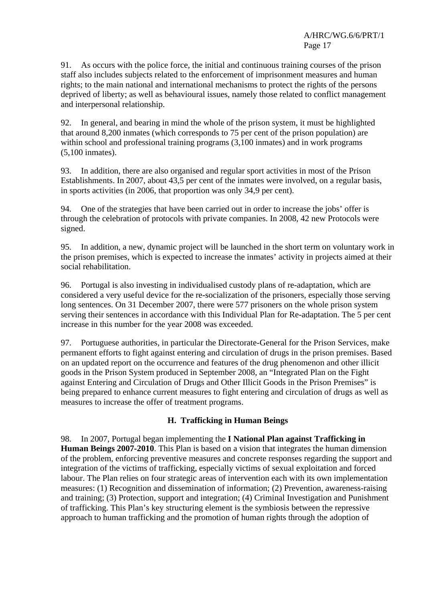91. As occurs with the police force, the initial and continuous training courses of the prison staff also includes subjects related to the enforcement of imprisonment measures and human rights; to the main national and international mechanisms to protect the rights of the persons deprived of liberty; as well as behavioural issues, namely those related to conflict management and interpersonal relationship.

92. In general, and bearing in mind the whole of the prison system, it must be highlighted that around 8,200 inmates (which corresponds to 75 per cent of the prison population) are within school and professional training programs  $(3,100)$  inmates) and in work programs (5,100 inmates).

93. In addition, there are also organised and regular sport activities in most of the Prison Establishments. In 2007, about 43,5 per cent of the inmates were involved, on a regular basis, in sports activities (in 2006, that proportion was only 34,9 per cent).

94. One of the strategies that have been carried out in order to increase the jobs' offer is through the celebration of protocols with private companies. In 2008, 42 new Protocols were signed.

95. In addition, a new, dynamic project will be launched in the short term on voluntary work in the prison premises, which is expected to increase the inmates' activity in projects aimed at their social rehabilitation.

96. Portugal is also investing in individualised custody plans of re-adaptation, which are considered a very useful device for the re-socialization of the prisoners, especially those serving long sentences. On 31 December 2007, there were 577 prisoners on the whole prison system serving their sentences in accordance with this Individual Plan for Re-adaptation. The 5 per cent increase in this number for the year 2008 was exceeded.

97. Portuguese authorities, in particular the Directorate-General for the Prison Services, make permanent efforts to fight against entering and circulation of drugs in the prison premises. Based on an updated report on the occurrence and features of the drug phenomenon and other illicit goods in the Prison System produced in September 2008, an "Integrated Plan on the Fight against Entering and Circulation of Drugs and Other Illicit Goods in the Prison Premises" is being prepared to enhance current measures to fight entering and circulation of drugs as well as measures to increase the offer of treatment programs.

#### **H. Trafficking in Human Beings**

98. In 2007, Portugal began implementing the **I National Plan against Trafficking in Human Beings 2007-2010**. This Plan is based on a vision that integrates the human dimension of the problem, enforcing preventive measures and concrete responses regarding the support and integration of the victims of trafficking, especially victims of sexual exploitation and forced labour. The Plan relies on four strategic areas of intervention each with its own implementation measures: (1) Recognition and dissemination of information; (2) Prevention, awareness-raising and training; (3) Protection, support and integration; (4) Criminal Investigation and Punishment of trafficking. This Plan's key structuring element is the symbiosis between the repressive approach to human trafficking and the promotion of human rights through the adoption of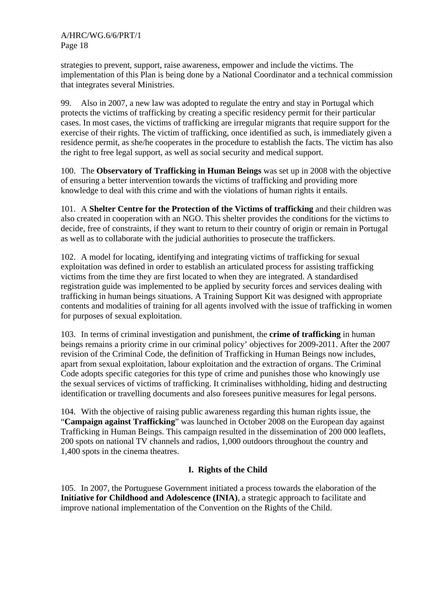strategies to prevent, support, raise awareness, empower and include the victims. The implementation of this Plan is being done by a National Coordinator and a technical commission that integrates several Ministries.

99. Also in 2007, a new law was adopted to regulate the entry and stay in Portugal which protects the victims of trafficking by creating a specific residency permit for their particular cases. In most cases, the victims of trafficking are irregular migrants that require support for the exercise of their rights. The victim of trafficking, once identified as such, is immediately given a residence permit, as she/he cooperates in the procedure to establish the facts. The victim has also the right to free legal support, as well as social security and medical support.

100. The **Observatory of Trafficking in Human Beings** was set up in 2008 with the objective of ensuring a better intervention towards the victims of trafficking and providing more knowledge to deal with this crime and with the violations of human rights it entails.

101. A **Shelter Centre for the Protection of the Victims of trafficking** and their children was also created in cooperation with an NGO. This shelter provides the conditions for the victims to decide, free of constraints, if they want to return to their country of origin or remain in Portugal as well as to collaborate with the judicial authorities to prosecute the traffickers.

102. A model for locating, identifying and integrating victims of trafficking for sexual exploitation was defined in order to establish an articulated process for assisting trafficking victims from the time they are first located to when they are integrated. A standardised registration guide was implemented to be applied by security forces and services dealing with trafficking in human beings situations. A Training Support Kit was designed with appropriate contents and modalities of training for all agents involved with the issue of trafficking in women for purposes of sexual exploitation.

103. In terms of criminal investigation and punishment, the **crime of trafficking** in human beings remains a priority crime in our criminal policy' objectives for 2009-2011. After the 2007 revision of the Criminal Code, the definition of Trafficking in Human Beings now includes, apart from sexual exploitation, labour exploitation and the extraction of organs. The Criminal Code adopts specific categories for this type of crime and punishes those who knowingly use the sexual services of victims of trafficking. It criminalises withholding, hiding and destructing identification or travelling documents and also foresees punitive measures for legal persons.

104. With the objective of raising public awareness regarding this human rights issue, the "**Campaign against Trafficking**" was launched in October 2008 on the European day against Trafficking in Human Beings. This campaign resulted in the dissemination of 200 000 leaflets, 200 spots on national TV channels and radios, 1,000 outdoors throughout the country and 1,400 spots in the cinema theatres.

## **I. Rights of the Child**

105. In 2007, the Portuguese Government initiated a process towards the elaboration of the **Initiative for Childhood and Adolescence (INIA)**, a strategic approach to facilitate and improve national implementation of the Convention on the Rights of the Child.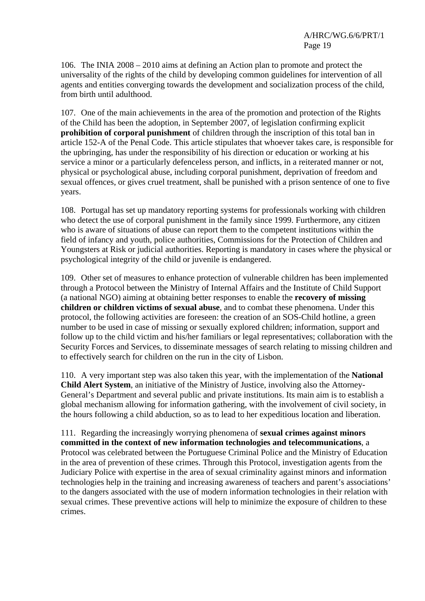106. The INIA 2008 – 2010 aims at defining an Action plan to promote and protect the universality of the rights of the child by developing common guidelines for intervention of all agents and entities converging towards the development and socialization process of the child, from birth until adulthood.

107. One of the main achievements in the area of the promotion and protection of the Rights of the Child has been the adoption, in September 2007, of legislation confirming explicit **prohibition of corporal punishment** of children through the inscription of this total ban in article 152-A of the Penal Code. This article stipulates that whoever takes care, is responsible for the upbringing, has under the responsibility of his direction or education or working at his service a minor or a particularly defenceless person, and inflicts, in a reiterated manner or not, physical or psychological abuse, including corporal punishment, deprivation of freedom and sexual offences, or gives cruel treatment, shall be punished with a prison sentence of one to five years.

108. Portugal has set up mandatory reporting systems for professionals working with children who detect the use of corporal punishment in the family since 1999. Furthermore, any citizen who is aware of situations of abuse can report them to the competent institutions within the field of infancy and youth, police authorities, Commissions for the Protection of Children and Youngsters at Risk or judicial authorities. Reporting is mandatory in cases where the physical or psychological integrity of the child or juvenile is endangered.

109. Other set of measures to enhance protection of vulnerable children has been implemented through a Protocol between the Ministry of Internal Affairs and the Institute of Child Support (a national NGO) aiming at obtaining better responses to enable the **recovery of missing children or children victims of sexual abuse**, and to combat these phenomena. Under this protocol, the following activities are foreseen: the creation of an SOS-Child hotline, a green number to be used in case of missing or sexually explored children; information, support and follow up to the child victim and his/her familiars or legal representatives; collaboration with the Security Forces and Services, to disseminate messages of search relating to missing children and to effectively search for children on the run in the city of Lisbon.

110. A very important step was also taken this year, with the implementation of the **National Child Alert System**, an initiative of the Ministry of Justice, involving also the Attorney-General's Department and several public and private institutions. Its main aim is to establish a global mechanism allowing for information gathering, with the involvement of civil society, in the hours following a child abduction, so as to lead to her expeditious location and liberation.

111. Regarding the increasingly worrying phenomena of **sexual crimes against minors committed in the context of new information technologies and telecommunications**, a Protocol was celebrated between the Portuguese Criminal Police and the Ministry of Education in the area of prevention of these crimes. Through this Protocol, investigation agents from the Judiciary Police with expertise in the area of sexual criminality against minors and information technologies help in the training and increasing awareness of teachers and parent's associations' to the dangers associated with the use of modern information technologies in their relation with sexual crimes. These preventive actions will help to minimize the exposure of children to these crimes.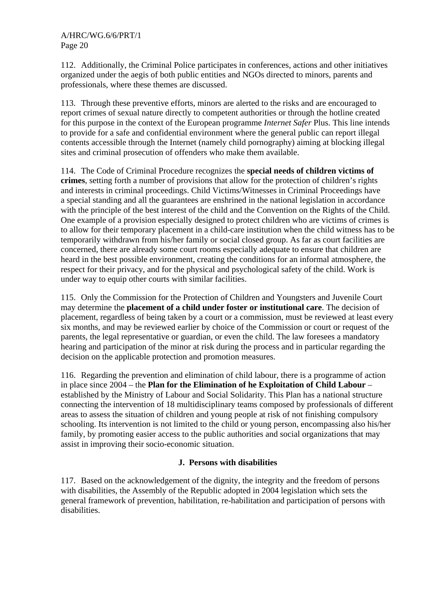112. Additionally, the Criminal Police participates in conferences, actions and other initiatives organized under the aegis of both public entities and NGOs directed to minors, parents and professionals, where these themes are discussed.

113. Through these preventive efforts, minors are alerted to the risks and are encouraged to report crimes of sexual nature directly to competent authorities or through the hotline created for this purpose in the context of the European programme *Internet Safer* Plus. This line intends to provide for a safe and confidential environment where the general public can report illegal contents accessible through the Internet (namely child pornography) aiming at blocking illegal sites and criminal prosecution of offenders who make them available.

114. The Code of Criminal Procedure recognizes the **special needs of children victims of crimes**, setting forth a number of provisions that allow for the protection of children's rights and interests in criminal proceedings. Child Victims/Witnesses in Criminal Proceedings have a special standing and all the guarantees are enshrined in the national legislation in accordance with the principle of the best interest of the child and the Convention on the Rights of the Child. One example of a provision especially designed to protect children who are victims of crimes is to allow for their temporary placement in a child-care institution when the child witness has to be temporarily withdrawn from his/her family or social closed group. As far as court facilities are concerned, there are already some court rooms especially adequate to ensure that children are heard in the best possible environment, creating the conditions for an informal atmosphere, the respect for their privacy, and for the physical and psychological safety of the child. Work is under way to equip other courts with similar facilities.

115. Only the Commission for the Protection of Children and Youngsters and Juvenile Court may determine the **placement of a child under foster or institutional care**. The decision of placement, regardless of being taken by a court or a commission, must be reviewed at least every six months, and may be reviewed earlier by choice of the Commission or court or request of the parents, the legal representative or guardian, or even the child. The law foresees a mandatory hearing and participation of the minor at risk during the process and in particular regarding the decision on the applicable protection and promotion measures.

116. Regarding the prevention and elimination of child labour, there is a programme of action in place since 2004 – the **Plan for the Elimination of he Exploitation of Child Labour** – established by the Ministry of Labour and Social Solidarity. This Plan has a national structure connecting the intervention of 18 multidisciplinary teams composed by professionals of different areas to assess the situation of children and young people at risk of not finishing compulsory schooling. Its intervention is not limited to the child or young person, encompassing also his/her family, by promoting easier access to the public authorities and social organizations that may assist in improving their socio-economic situation.

#### **J. Persons with disabilities**

117. Based on the acknowledgement of the dignity, the integrity and the freedom of persons with disabilities, the Assembly of the Republic adopted in 2004 legislation which sets the general framework of prevention, habilitation, re-habilitation and participation of persons with disabilities.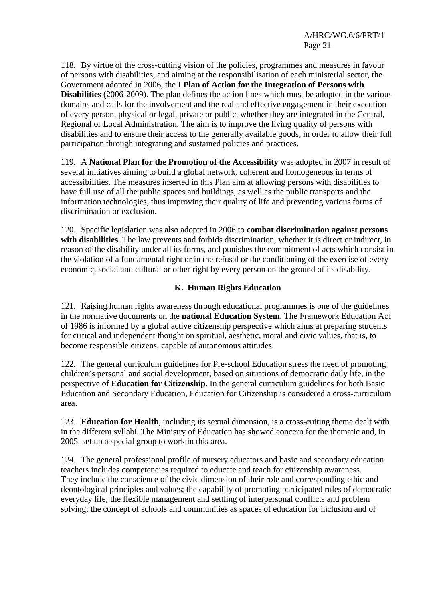118. By virtue of the cross-cutting vision of the policies, programmes and measures in favour of persons with disabilities, and aiming at the responsibilisation of each ministerial sector, the Government adopted in 2006, the **I Plan of Action for the Integration of Persons with Disabilities** (2006-2009). The plan defines the action lines which must be adopted in the various domains and calls for the involvement and the real and effective engagement in their execution of every person, physical or legal, private or public, whether they are integrated in the Central, Regional or Local Administration. The aim is to improve the living quality of persons with disabilities and to ensure their access to the generally available goods, in order to allow their full participation through integrating and sustained policies and practices.

119. A **National Plan for the Promotion of the Accessibility** was adopted in 2007 in result of several initiatives aiming to build a global network, coherent and homogeneous in terms of accessibilities. The measures inserted in this Plan aim at allowing persons with disabilities to have full use of all the public spaces and buildings, as well as the public transports and the information technologies, thus improving their quality of life and preventing various forms of discrimination or exclusion.

120. Specific legislation was also adopted in 2006 to **combat discrimination against persons with disabilities**. The law prevents and forbids discrimination, whether it is direct or indirect, in reason of the disability under all its forms, and punishes the commitment of acts which consist in the violation of a fundamental right or in the refusal or the conditioning of the exercise of every economic, social and cultural or other right by every person on the ground of its disability.

#### **K. Human Rights Education**

121. Raising human rights awareness through educational programmes is one of the guidelines in the normative documents on the **national Education System**. The Framework Education Act of 1986 is informed by a global active citizenship perspective which aims at preparing students for critical and independent thought on spiritual, aesthetic, moral and civic values, that is, to become responsible citizens, capable of autonomous attitudes.

122. The general curriculum guidelines for Pre-school Education stress the need of promoting children's personal and social development, based on situations of democratic daily life, in the perspective of **Education for Citizenship**. In the general curriculum guidelines for both Basic Education and Secondary Education, Education for Citizenship is considered a cross-curriculum area.

123. **Education for Health**, including its sexual dimension, is a cross-cutting theme dealt with in the different syllabi. The Ministry of Education has showed concern for the thematic and, in 2005, set up a special group to work in this area.

124. The general professional profile of nursery educators and basic and secondary education teachers includes competencies required to educate and teach for citizenship awareness. They include the conscience of the civic dimension of their role and corresponding ethic and deontological principles and values; the capability of promoting participated rules of democratic everyday life; the flexible management and settling of interpersonal conflicts and problem solving; the concept of schools and communities as spaces of education for inclusion and of